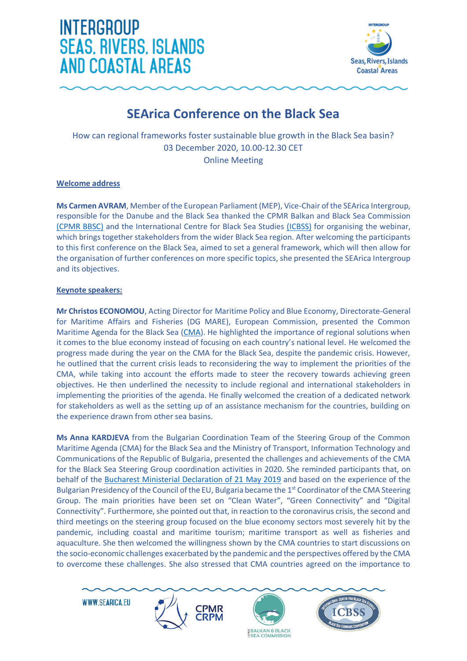



#### **SEArica Conference on the Black Sea**

How can regional frameworks foster sustainable blue growth in the Black Sea basin? 03 December 2020, 10.00-12.30 CET Online Meeting

#### **Welcome address**

**Ms Carmen AVRAM**, Member of the European Parliament (MEP), Vice-Chair of the SEArica Intergroup, responsible for the Danube and the Black Sea thanked the CPMR Balkan and Black Sea Commission [\(CPMR BBSC\)](https://cpmr-balkan-blacksea.org/) and the International Centre for Black Sea Studies [\(ICBSS\)](https://icbss.org/) for organising the webinar, which brings together stakeholders from the wider Black Sea region. After welcoming the participants to this first conference on the Black Sea, aimed to set a general framework, which will then allow for the organisation of further conferences on more specific topics, she presented the SEArica Intergroup and its objectives.

#### **Keynote speakers:**

**Mr Christos ECONOMOU**, Acting Director for Maritime Policy and Blue Economy, Directorate-General for Maritime Affairs and Fisheries (DG MARE), European Commission, presented the Common Maritime Agenda for the Black Sea [\(CMA\)](https://ec.europa.eu/maritimeaffairs/press/black-sea-ministers-endorse-common-maritime-agenda_en). He highlighted the importance of regional solutions when it comes to the blue economy instead of focusing on each country's national level. He welcomed the progress made during the year on the CMA for the Black Sea, despite the pandemic crisis. However, he outlined that the current crisis leads to reconsidering the way to implement the priorities of the CMA, while taking into account the efforts made to steer the recovery towards achieving green objectives. He then underlined the necessity to include regional and international stakeholders in implementing the priorities of the agenda. He finally welcomed the creation of a dedicated network for stakeholders as well as the setting up of an assistance mechanism for the countries, building on the experience drawn from other sea basins.

**Ms Anna KARDJEVA** from the Bulgarian Coordination Team of the Steering Group of the Common Maritime Agenda (CMA) for the Black Sea and the Ministry of Transport, Information Technology and Communications of the Republic of Bulgaria, presented the challenges and achievements of the CMA for the Black Sea Steering Group coordination activities in 2020. She reminded participants that, on behalf of the [Bucharest Ministerial Declaration of 21 May 2019](https://cpmr-balkan-blacksea.org/maritime/romanian-eu-presidency-events-target-innovation-research-and-sustainability-in-the-black-sea/3056/) and based on the experience of the Bulgarian Presidency of the Council of the EU, Bulgaria became the 1<sup>st</sup> Coordinator of the CMA Steering Group. The main priorities have been set on "Clean Water", "Green Connectivity" and "Digital Connectivity". Furthermore, she pointed out that, in reaction to the coronavirus crisis, the second and third meetings on the steering group focused on the blue economy sectors most severely hit by the pandemic, including coastal and maritime tourism; maritime transport as well as fisheries and aquaculture. She then welcomed the willingness shown by the CMA countries to start discussions on the socio-economic challenges exacerbated by the pandemic and the perspectives offered by the CMA to overcome these challenges. She also stressed that CMA countries agreed on the importance to





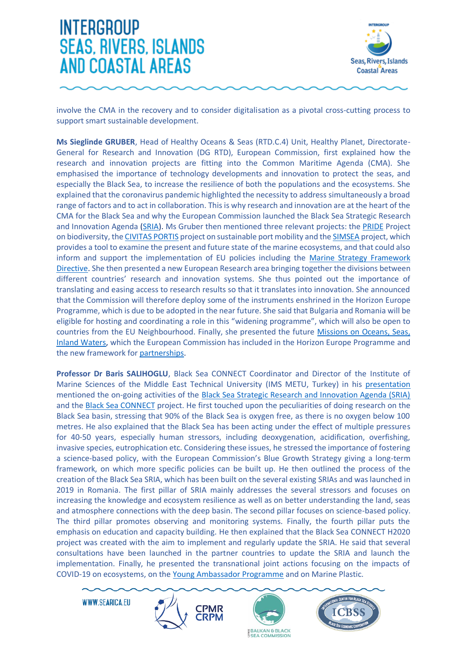

involve the CMA in the recovery and to consider digitalisation as a pivotal cross-cutting process to support smart sustainable development.

**Ms Sieglinde GRUBER**, Head of Healthy Oceans & Seas (RTD.C.4) Unit, Healthy Planet, Directorate-General for Research and Innovation (DG RTD), European Commission, first explained how the research and innovation projects are fitting into the Common Maritime Agenda (CMA). She emphasised the importance of technology developments and innovation to protect the seas, and especially the Black Sea, to increase the resilience of both the populations and the ecosystems. She explained that the coronavirus pandemic highlighted the necessity to address simultaneously a broad range of factors and to act in collaboration. This is why research and innovation are at the heart of the CMA for the Black Sea and why the European Commission launched the Black Sea Strategic Research and Innovation Agenda [\(SRIA\)](https://ec.europa.eu/info/news/launch-european-black-sea-strategic-research-and-innovation-agenda-2019-may-08_en). Ms Gruber then mentioned three relevant projects: the [PRIDE](https://pontocaspian.eu/content/pride) Project on biodiversity, the [CIVITAS](https://civitas.eu/portis) PORTIS project on sustainable port mobility and th[e SIMSEA](https://cordis.europa.eu/article/id/422439-advancing-the-legacy-of-simsea-to-solve-the-mysteries-of-the-black-sea) project, which provides a tool to examine the present and future state of the marine ecosystems, and that could also inform and support the implementation of EU policies including the [Marine Strategy Framework](https://ec.europa.eu/environment/marine/eu-coast-and-marine-policy/marine-strategy-framework-directive/index_en.htm)  [Directive.](https://ec.europa.eu/environment/marine/eu-coast-and-marine-policy/marine-strategy-framework-directive/index_en.htm) She then presented a new European Research area bringing together the divisions between different countries' research and innovation systems. She thus pointed out the importance of translating and easing access to research results so that it translates into innovation. She announced that the Commission will therefore deploy some of the instruments enshrined in the Horizon Europe Programme, which is due to be adopted in the near future. She said that Bulgaria and Romania will be eligible for hosting and coordinating a role in this "widening programme", which will also be open to countries from the EU Neighbourhood. Finally, she presented the future [Missions on Oceans, Seas,](https://ec.europa.eu/info/horizon-europe/missions-horizon-europe/healthy-oceans-seas-coastal-and-inland-waters_en)  [Inland Waters,](https://ec.europa.eu/info/horizon-europe/missions-horizon-europe/healthy-oceans-seas-coastal-and-inland-waters_en) which the European Commission has included in the Horizon Europe Programme and the new framework for [partnerships.](https://ec.europa.eu/info/horizon-europe/european-partnerships-horizon-europe/candidates-food-security_en)

**Professor Dr Baris SALIHOGLU**, Black Sea CONNECT Coordinator and Director of the Institute of Marine Sciences of the Middle East Technical University (IMS METU, Turkey) in his [presentation](http://www.searica.eu/documents/category/62-event-3-12-20) mentioned the on-going activities of the [Black Sea Strategic Research and Innovation Agenda \(SRIA\)](http://connect2blacksea.org/the-sria/) and the [Black Sea CONNECT](http://connect2blacksea.org/policy-oriented-entities/) project. He first touched upon the peculiarities of doing research on the Black Sea basin, stressing that 90% of the Black Sea is oxygen free, as there is no oxygen below 100 metres. He also explained that the Black Sea has been acting under the effect of multiple pressures for 40-50 years, especially human stressors, including deoxygenation, acidification, overfishing, invasive species, eutrophication etc. Considering these issues, he stressed the importance of fostering a science-based policy, with the European Commission's Blue Growth Strategy giving a long-term framework, on which more specific policies can be built up. He then outlined the process of the creation of the Black Sea SRIA, which has been built on the several existing SRIAs and was launched in 2019 in Romania. The first pillar of SRIA mainly addresses the several stressors and focuses on increasing the knowledge and ecosystem resilience as well as on better understanding the land, seas and atmosphere connections with the deep basin. The second pillar focuses on science-based policy. The third pillar promotes observing and monitoring systems. Finally, the fourth pillar puts the emphasis on education and capacity building. He then explained that the Black Sea CONNECT H2020 project was created with the aim to implement and regularly update the SRIA. He said that several consultations have been launched in the partner countries to update the SRIA and launch the implementation. Finally, he presented the transnational joint actions focusing on the impacts of COVID-19 on ecosystems, on the [Young Ambassador Programme](http://connect2blacksea.org/outreach/youth-ambassadors/) and on Marine Plastic.





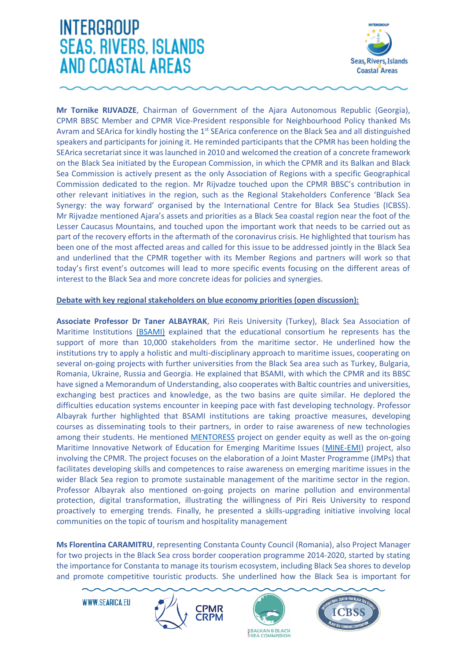

**Mr Tornike RIJVADZE**, Chairman of Government of the Ajara Autonomous Republic (Georgia), CPMR BBSC Member and CPMR Vice-President responsible for Neighbourhood Policy thanked Ms Avram and SEArica for kindly hosting the 1<sup>st</sup> SEArica conference on the Black Sea and all distinguished speakers and participants for joining it. He reminded participants that the CPMR has been holding the SEArica secretariat since it was launched in 2010 and welcomed the creation of a concrete framework on the Black Sea initiated by the European Commission, in which the CPMR and its Balkan and Black Sea Commission is actively present as the only Association of Regions with a specific Geographical Commission dedicated to the region. Mr Rijvadze touched upon the CPMR BBSC's contribution in other relevant initiatives in the region, such as the Regional Stakeholders Conference 'Black Sea Synergy: the way forward' organised by the International Centre for Black Sea Studies (ICBSS). Mr Rijvadze mentioned Ajara's assets and priorities as a Black Sea coastal region near the foot of the Lesser Caucasus Mountains, and touched upon the important work that needs to be carried out as part of the recovery efforts in the aftermath of the coronavirus crisis. He highlighted that tourism has been one of the most affected areas and called for this issue to be addressed jointly in the Black Sea and underlined that the CPMR together with its Member Regions and partners will work so that today's first event's outcomes will lead to more specific events focusing on the different areas of interest to the Black Sea and more concrete ideas for policies and synergies.

#### **Debate with key regional stakeholders on blue economy priorities (open discussion):**

**Associate Professor Dr Taner ALBAYRAK**, Piri Reis University (Turkey), Black Sea Association of Maritime Institutions [\(BSAMI\)](https://www.bsami.org/) explained that the educational consortium he represents has the support of more than 10,000 stakeholders from the maritime sector. He underlined how the institutions try to apply a holistic and multi-disciplinary approach to maritime issues, cooperating on several on-going projects with further universities from the Black Sea area such as Turkey, Bulgaria, Romania, Ukraine, Russia and Georgia. He explained that BSAMI, with which the CPMR and its BBSC have signed a Memorandum of Understanding, also cooperates with Baltic countries and universities, exchanging best practices and knowledge, as the two basins are quite similar. He deplored the difficulties education systems encounter in keeping pace with fast developing technology. Professor Albayrak further highlighted that BSAMI institutions are taking proactive measures, developing courses as disseminating tools to their partners, in order to raise awareness of new technologies among their students. He mentioned [MENTORESS](https://www.pirireis.edu.tr/mentoress) project on gender equity as well as the on-going Maritime Innovative Network of Education for Emerging Maritime Issues [\(MINE-EMI\)](https://cpmr-balkan-blacksea.org/maritime/mine-emi-kick-off-meeting-and-stakeholders-international-conference-partners-from-the-wider-black-sea-region-establish-a-network-for-innovative-education-to-tackle-emerging-maritime-issues/3284/) project, also involving the CPMR. The project focuses on the elaboration of a Joint Master Programme (JMPs) that facilitates developing skills and competences to raise awareness on emerging maritime issues in the wider Black Sea region to promote sustainable management of the maritime sector in the region. Professor Albayrak also mentioned on-going projects on marine pollution and environmental protection, digital transformation, illustrating the willingness of Piri Reis University to respond proactively to emerging trends. Finally, he presented a skills-upgrading initiative involving local communities on the topic of tourism and hospitality management

**Ms Florentina CARAMITRU**, representing Constanta County Council (Romania), also Project Manager for two projects in the Black Sea cross border cooperation programme 2014-2020, started by stating the importance for Constanta to manage its tourism ecosystem, including Black Sea shores to develop and promote competitive touristic products. She underlined how the Black Sea is important for





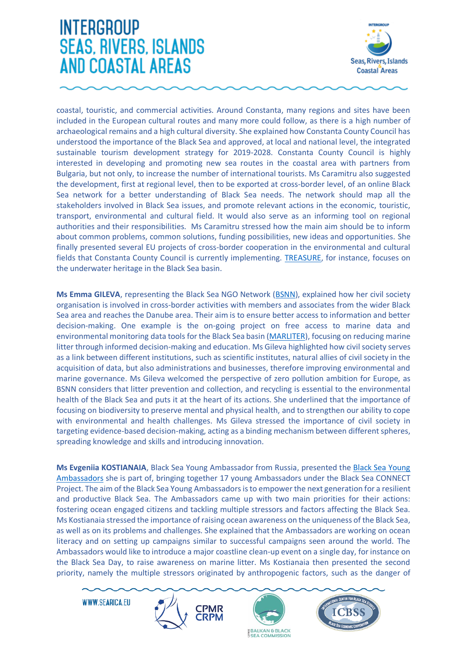

coastal, touristic, and commercial activities. Around Constanta, many regions and sites have been included in the European cultural routes and many more could follow, as there is a high number of archaeological remains and a high cultural diversity. She explained how Constanta County Council has understood the importance of the Black Sea and approved, at local and national level, the integrated sustainable tourism development strategy for 2019-2028. Constanta County Council is highly interested in developing and promoting new sea routes in the coastal area with partners from Bulgaria, but not only, to increase the number of international tourists. Ms Caramitru also suggested the development, first at regional level, then to be exported at cross-border level, of an online Black Sea network for a better understanding of Black Sea needs. The network should map all the stakeholders involved in Black Sea issues, and promote relevant actions in the economic, touristic, transport, environmental and cultural field. It would also serve as an informing tool on regional authorities and their responsibilities. Ms Caramitru stressed how the main aim should be to inform about common problems, common solutions, funding possibilities, new ideas and opportunities. She finally presented several EU projects of cross-border cooperation in the environmental and cultural fields that Constanta County Council is currently implementing. [TREASURE,](http://www.proiect-treasure.ro/) for instance, focuses on the underwater heritage in the Black Sea basin.

**Ms Emma GILEVA**, representing the Black Sea NGO Network [\(BSNN\)](http://www.bsnn.org/), explained how her civil society organisation is involved in cross-border activities with members and associates from the wider Black Sea area and reaches the Danube area. Their aim is to ensure better access to information and better decision-making. One example is the on-going project on free access to marine data and environmental monitoring data tools for the Black Sea basin [\(MARLITER\)](https://marliter.bsnn.org/), focusing on reducing marine litter through informed decision-making and education. Ms Gileva highlighted how civil society serves as a link between different institutions, such as scientific institutes, natural allies of civil society in the acquisition of data, but also administrations and businesses, therefore improving environmental and marine governance. Ms Gileva welcomed the perspective of zero pollution ambition for Europe, as BSNN considers that litter prevention and collection, and recycling is essential to the environmental health of the Black Sea and puts it at the heart of its actions. She underlined that the importance of focusing on biodiversity to preserve mental and physical health, and to strengthen our ability to cope with environmental and health challenges. Ms Gileva stressed the importance of civil society in targeting evidence-based decision-making, acting as a binding mechanism between different spheres, spreading knowledge and skills and introducing innovation.

**Ms Evgeniia KOSTIANAIA**, Black Sea Young Ambassador from Russia, presented the [Black Sea Young](http://connect2blacksea.org/outreach/youth-ambassadors/)  [Ambassadors](http://connect2blacksea.org/outreach/youth-ambassadors/) she is part of, bringing together 17 young Ambassadors under the Black Sea CONNECT Project. The aim of the Black Sea Young Ambassadorsis to empower the next generation for a resilient and productive Black Sea. The Ambassadors came up with two main priorities for their actions: fostering ocean engaged citizens and tackling multiple stressors and factors affecting the Black Sea. Ms Kostianaia stressed the importance of raising ocean awareness on the uniqueness of the Black Sea, as well as on its problems and challenges. She explained that the Ambassadors are working on ocean literacy and on setting up campaigns similar to successful campaigns seen around the world. The Ambassadors would like to introduce a major coastline clean-up event on a single day, for instance on the Black Sea Day, to raise awareness on marine litter. Ms Kostianaia then presented the second priority, namely the multiple stressors originated by anthropogenic factors, such as the danger of





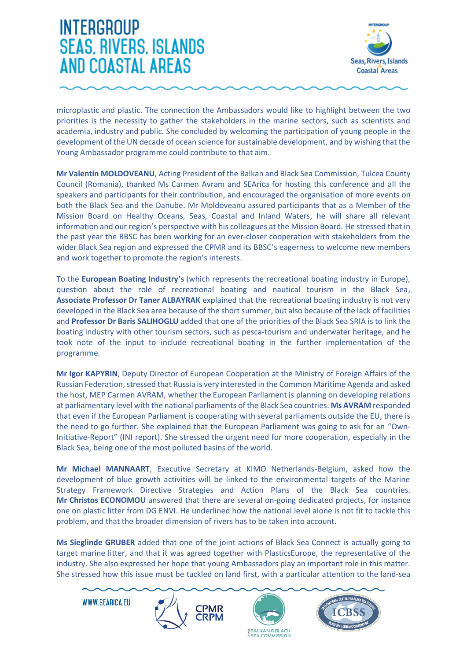

microplastic and plastic. The connection the Ambassadors would like to highlight between the two priorities is the necessity to gather the stakeholders in the marine sectors, such as scientists and academia, industry and public. She concluded by welcoming the participation of young people in the development of the UN decade of ocean science for sustainable development, and by wishing that the Young Ambassador programme could contribute to that aim.

**Mr Valentin MOLDOVEANU**, Acting President of the Balkan and Black Sea Commission, Tulcea County Council (Romania), thanked Ms Carmen Avram and SEArica for hosting this conference and all the speakers and participants for their contribution, and encouraged the organisation of more events on both the Black Sea and the Danube. Mr Moldoveanu assured participants that as a Member of the Mission Board on Healthy Oceans, Seas, Coastal and Inland Waters, he will share all relevant information and our region's perspective with his colleagues at the Mission Board. He stressed that in the past year the BBSC has been working for an ever-closer cooperation with stakeholders from the wider Black Sea region and expressed the CPMR and its BBSC's eagerness to welcome new members and work together to promote the region's interests.

To the **European Boating Industry's** (which represents the recreational boating industry in Europe), question about the role of recreational boating and nautical tourism in the Black Sea, **Associate Professor Dr Taner ALBAYRAK** explained that the recreational boating industry is not very developed in the Black Sea area because of the short summer, but also because of the lack of facilities and **Professor Dr Baris SALIHOGLU** added that one of the priorities of the Black Sea SRIA is to link the boating industry with other tourism sectors, such as pesca-tourism and underwater heritage, and he took note of the input to include recreational boating in the further implementation of the programme.

**Mr Igor KAPYRIN**, Deputy Director of European Cooperation at the Ministry of Foreign Affairs of the Russian Federation, stressed that Russia is very interested in the Common Maritime Agenda and asked the host, MEP Carmen AVRAM, whether the European Parliament is planning on developing relations at parliamentary level with the national parliaments of the Black Sea countries. **Ms AVRAM** responded that even if the European Parliament is cooperating with several parliaments outside the EU, there is the need to go further. She explained that the European Parliament was going to ask for an "Own-Initiative-Report" (INI report). She stressed the urgent need for more cooperation, especially in the Black Sea, being one of the most polluted basins of the world.

**Mr Michael MANNAART**, Executive Secretary at KIMO Netherlands-Belgium, asked how the development of blue growth activities will be linked to the environmental targets of the Marine Strategy Framework Directive Strategies and Action Plans of the Black Sea countries. **Mr Christos ECONOMOU** answered that there are several on-going dedicated projects, for instance one on plastic litter from DG ENVI. He underlined how the national level alone is not fit to tackle this problem, and that the broader dimension of rivers has to be taken into account.

**Ms Sieglinde GRUBER** added that one of the joint actions of Black Sea Connect is actually going to target marine litter, and that it was agreed together with PlasticsEurope, the representative of the industry. She also expressed her hope that young Ambassadors play an important role in this matter. She stressed how this issue must be tackled on land first, with a particular attention to the land-sea





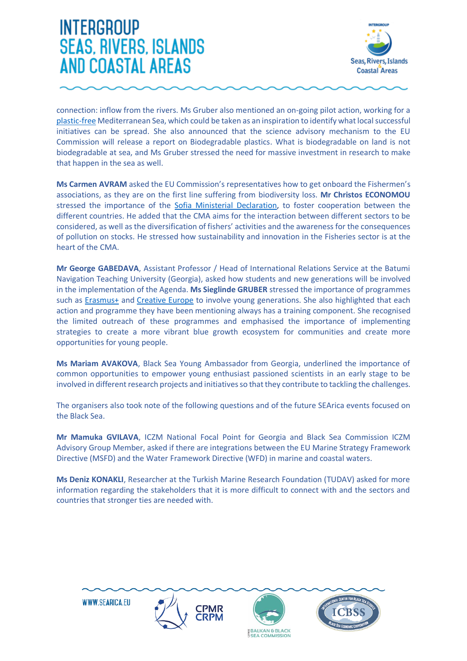

connection: inflow from the rivers. Ms Gruber also mentioned an on-going pilot action, working for a [plastic-free](http://www.bluemed-initiative.eu/pilot-action-on-a-healthy-plastic-free-mediterranean-sea/) Mediterranean Sea, which could be taken as an inspiration to identify what local successful initiatives can be spread. She also announced that the science advisory mechanism to the EU Commission will release a report on Biodegradable plastics. What is biodegradable on land is not biodegradable at sea, and Ms Gruber stressed the need for massive investment in research to make that happen in the sea as well.

**Ms Carmen AVRAM** asked the EU Commission's representatives how to get onboard the Fishermen's associations, as they are on the first line suffering from biodiversity loss. **Mr Christos ECONOMOU** stressed the importance of the [Sofia Ministerial Declaration,](https://ec.europa.eu/fisheries/cfp/black-sea_en) to foster cooperation between the different countries. He added that the CMA aims for the interaction between different sectors to be considered, as well as the diversification of fishers' activities and the awareness for the consequences of pollution on stocks. He stressed how sustainability and innovation in the Fisheries sector is at the heart of the CMA.

**Mr George GABEDAVA**, Assistant Professor / Head of International Relations Service at the Batumi Navigation Teaching University (Georgia), asked how students and new generations will be involved in the implementation of the Agenda. **Ms Sieglinde GRUBER** stressed the importance of programmes such as [Erasmus+](https://eacea.ec.europa.eu/erasmus-plus_en) and [Creative](https://eacea.ec.europa.eu/creative-europe_en) Europe to involve young generations. She also highlighted that each action and programme they have been mentioning always has a training component. She recognised the limited outreach of these programmes and emphasised the importance of implementing strategies to create a more vibrant blue growth ecosystem for communities and create more opportunities for young people.

**Ms Mariam AVAKOVA**, Black Sea Young Ambassador from Georgia, underlined the importance of common opportunities to empower young enthusiast passioned scientists in an early stage to be involved in different research projects and initiatives so that they contribute to tackling the challenges.

The organisers also took note of the following questions and of the future SEArica events focused on the Black Sea.

**Mr Mamuka GVILAVA**, ICZM National Focal Point for Georgia and Black Sea Commission ICZM Advisory Group Member, asked if there are integrations between the EU Marine Strategy Framework Directive (MSFD) and the Water Framework Directive (WFD) in marine and coastal waters.

**Ms Deniz KONAKLI**, Researcher at the Turkish Marine Research Foundation (TUDAV) asked for more information regarding the stakeholders that it is more difficult to connect with and the sectors and countries that stronger ties are needed with.